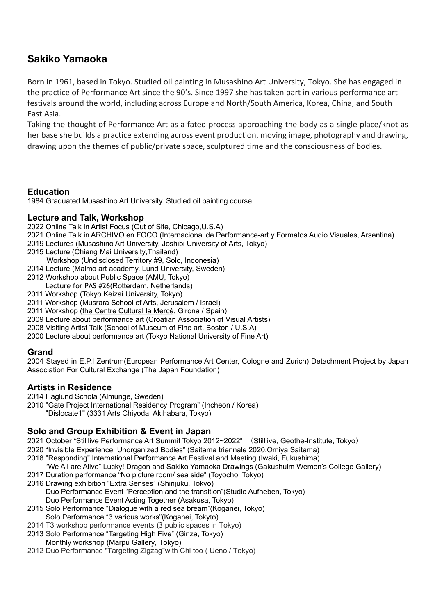# **Sakiko Yamaoka**

Born in 1961, based in Tokyo. Studied oil painting in Musashino Art University, Tokyo. She has engaged in the practice of Performance Art since the 90's. Since 1997 she has taken part in various performance art festivals around the world, including across Europe and North/South America, Korea, China, and South East Asia.

Taking the thought of Performance Art as a fated process approaching the body as a single place/knot as her base she builds a practice extending across event production, moving image, photography and drawing, drawing upon the themes of public/private space, sculptured time and the consciousness of bodies.

### **Education**

1984 Graduated Musashino Art University. Studied oil painting course

#### **Lecture and Talk, Workshop**

- 2022 Online Talk in Artist Focus (Out of Site, Chicago,U.S.A)
- 2021 Online Talk in ARCHIVO en FOCO (Internacional de Performance-art y Formatos Audio Visuales, Arsentina)
- 2019 Lectures (Musashino Art University, Joshibi University of Arts, Tokyo)
- 2015 Lecture (Chiang Mai University,Thailand)
- Workshop (Undisclosed Territory #9, Solo, Indonesia)
- 2014 Lecture (Malmo art academy, Lund University, Sweden)
- 2012 Workshop about Public Space (AMU, Tokyo)
- Lecture for PAS #26(Rotterdam, Netherlands)
- 2011 Workshop (Tokyo Keizai University, Tokyo)
- 2011 Workshop (Musrara School of Arts, Jerusalem / Israel)
- 2011 Workshop (the Centre Cultural la Mercè, Girona / Spain)
- 2009 Lecture about performance art (Croatian Association of Visual Artists)
- 2008 Visiting Artist Talk (School of Museum of Fine art, Boston / U.S.A)
- 2000 Lecture about performance art (Tokyo National University of Fine Art)

### **Grand**

2004 Stayed in E.P.I Zentrum(European Performance Art Center, Cologne and Zurich) Detachment Project by Japan Association For Cultural Exchange (The Japan Foundation)

#### **Artists in Residence**

- 2014 Haglund Schola (Almunge, Sweden)
- 2010 "Gate Project International Residency Program" (Incheon / Korea)
	- "Dislocate1" (3331 Arts Chiyoda, Akihabara, Tokyo)

### **Solo and Group Exhibition & Event in Japan**

2021 October "Stilllive Performance Art Summit Tokyo 2012~2022" (Stilllive, Geothe-Institute, Tokyo)

- 2020 "Invisible Experience, Unorganized Bodies" (Saitama triennale 2020,Omiya,Saitama)
- 2018 "Responding" International Performance Art Festival and Meeting (Iwaki, Fukushima)
- "We All are Alive" Lucky! Dragon and Sakiko Yamaoka Drawings (Gakushuim Wemen's College Gallery)
- 2017 Duration performance "No picture room/ sea side" (Toyocho, Tokyo)
- 2016 Drawing exhibition "Extra Senses" (Shinjuku, Tokyo)
	- Duo Performance Event "Perception and the transition"(Studio Aufheben, Tokyo) Duo Performance Event Acting Together (Asakusa, Tokyo)
- 2015 Solo Performance "Dialogue with a red sea bream"(Koganei, Tokyo) Solo Performance "3 various works"(Koganei, Tokyto)
- 2014 T3 workshop performance events (3 public spaces in Tokyo)
- 2013 Solo Performance "Targeting High Five" (Ginza, Tokyo)
- Monthly workshop (Marpu Gallery, Tokyo)
- 2012 Duo Performance "Targeting Zigzag"with Chi too ( Ueno / Tokyo)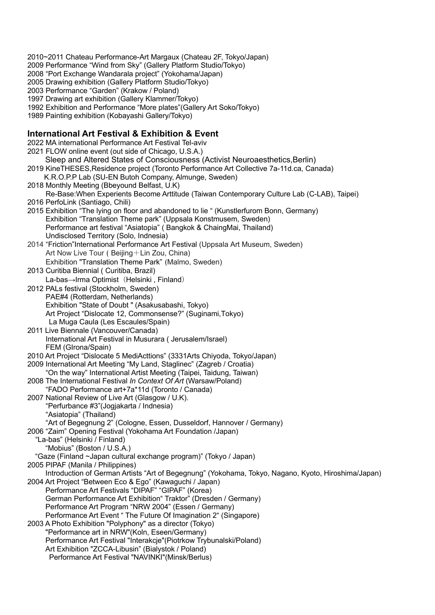2010~2011 Chateau Performance-Art Margaux (Chateau 2F, Tokyo/Japan)

- 2009 Performance "Wind from Sky" (Gallery Platform Studio/Tokyo)
- 2008 "Port Exchange Wandarala project" (Yokohama/Japan)
- 2005 Drawing exhibition (Gallery Platform Studio/Tokyo)
- 2003 Performance "Garden" (Krakow / Poland)
- 1997 Drawing art exhibition (Gallery Klammer/Tokyo)
- 1992 Exhibition and Performance "More plates"(Gallery Art Soko/Tokyo)
- 1989 Painting exhibition (Kobayashi Gallery/Tokyo)

## **International Art Festival & Exhibition & Event**

| 2022 MA international Performance Art Festival Tel-aviv                                                                                                         |
|-----------------------------------------------------------------------------------------------------------------------------------------------------------------|
| 2021 FLOW online event (out side of Chicago, U.S.A.)                                                                                                            |
| Sleep and Altered States of Consciousness (Activist Neuroaesthetics, Berlin)                                                                                    |
| 2019 KineTHESES, Residence project (Toronto Performance Art Collective 7a-11d.ca, Canada)                                                                       |
| K.R.O.P.P Lab (SU-EN Butoh Company, Almunge, Sweden)                                                                                                            |
| 2018 Monthly Meeting (Bbeyound Belfast, U.K)                                                                                                                    |
| Re-Base: When Experients Become Arttitude (Taiwan Contemporary Culture Lab (C-LAB), Taipei)                                                                     |
| 2016 PerfoLink (Santiago, Chili)                                                                                                                                |
| 2015 Exhibition "The lying on floor and abandoned to lie " (Kunstlerfurom Bonn, Germany)                                                                        |
| Exhibition "Translation Theme park" (Uppsala Konstmusem, Sweden)                                                                                                |
| Performance art festival "Asiatopia" (Bangkok & ChaingMai, Thailand)                                                                                            |
| Undisclosed Territory (Solo, Indnesia)                                                                                                                          |
| 2014 "Friction"International Performance Art Festival (Uppsala Art Museum, Sweden)                                                                              |
| Art Now Live Tour (Beijing + Lin Zou, China)                                                                                                                    |
| Exhibition "Translation Theme Park" (Malmo, Sweden)                                                                                                             |
| 2013 Curitiba Biennial (Curitiba, Brazil)                                                                                                                       |
| La-bas→Irma Optimist (Helsinki, Finland)                                                                                                                        |
| 2012 PALs festival (Stockholm, Sweden)                                                                                                                          |
| PAE#4 (Rotterdam, Netherlands)                                                                                                                                  |
| Exhibition "State of Doubt " (Asakusabashi, Tokyo)                                                                                                              |
| Art Project "Dislocate 12, Commonsense?" (Suginami, Tokyo)                                                                                                      |
| La Muga Caula (Les Escaules/Spain)                                                                                                                              |
| 2011 Live Biennale (Vancouver/Canada)                                                                                                                           |
| International Art Festival in Musurara (Jerusalem/Israel)                                                                                                       |
| FEM (GIrona/Spain)                                                                                                                                              |
| 2010 Art Project "Dislocate 5 MediActtions" (3331Arts Chiyoda, Tokyo/Japan)                                                                                     |
| 2009 International Art Meeting "My Land, Staglinec" (Zagreb / Croatia)                                                                                          |
| "On the way" International Artist Meeting (Taipei, Taidung, Taiwan)                                                                                             |
| 2008 The International Festival In Context Of Art (Warsaw/Poland)                                                                                               |
| "FADO Performance art+7a*11d (Toronto / Canada)                                                                                                                 |
| 2007 National Review of Live Art (Glasgow / U.K).                                                                                                               |
| "Perfurbance #3"(Jogjakarta / Indnesia)                                                                                                                         |
| "Asiatopia" (Thailand)                                                                                                                                          |
| "Art of Begegnung 2" (Cologne, Essen, Dusseldorf, Hannover / Germany)                                                                                           |
| 2006 "Zaim" Opening Festival (Yokohama Art Foundation /Japan)                                                                                                   |
| "La-bas" (Helsinki / Finland)                                                                                                                                   |
| "Mobius" (Boston / U.S.A.)                                                                                                                                      |
| "Gaze (Finland ~Japan cultural exchange program)" (Tokyo / Japan)                                                                                               |
| 2005 PIPAF (Manila / Philippines)                                                                                                                               |
| Introduction of German Artists "Art of Begegnung" (Yokohama, Tokyo, Nagano, Kyoto, Hiroshima/Japan)<br>2004 Art Project "Between Eco & Ego" (Kawaguchi / Japan) |
| Performance Art Festivals "DIPAF" "GIPAF" (Korea)                                                                                                               |
| German Performance Art Exhibition" Traktor" (Dresden / Germany)                                                                                                 |
| Performance Art Program "NRW 2004" (Essen / Germany)                                                                                                            |
| Performance Art Event " The Future Of Imagination 2" (Singapore)                                                                                                |
| 2003 A Photo Exhibition "Polyphony" as a director (Tokyo)                                                                                                       |
| "Performance art in NRW"(Koln, Eseen/Germany)                                                                                                                   |
| Performance Art Festival "Interakcje"(Piotrkow Trybunalski/Poland)                                                                                              |
| Art Exhibition "ZCCA-Libusin" (Bialystok / Poland)                                                                                                              |
| Performance Art Festival "NAVINKI"(Minsk/Berlus)                                                                                                                |
|                                                                                                                                                                 |